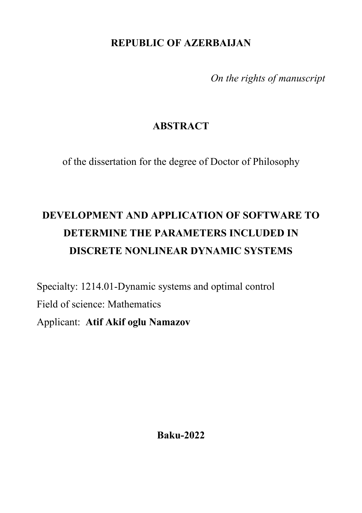**REPUBLIC OF AZERBAIJAN**

*On the rights of manuscript*

# **ABSTRACT**

of the dissertation for the degree of Doctor of Philosophy

# **DEVELOPMENT AND APPLICATION OF SOFTWARE TO DETERMINE THE PARAMETERS INCLUDED IN DISCRETE NONLINEAR DYNAMIC SYSTEMS**

Specialty: 1214.01-Dynamic systems and optimal control Field of science: Mathematics Applicant: **Atif Akif oglu Namazov**

**Baku-2022**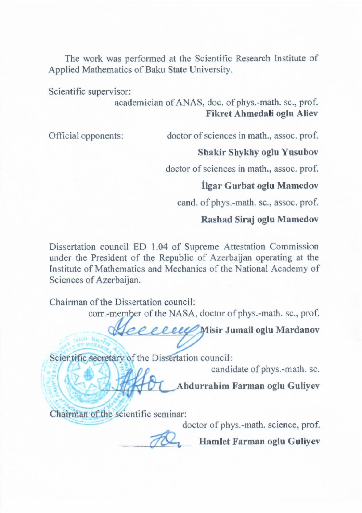The work was performed at the Scientific Research Institute of Applied Mathematics of Baku State University. Scientific supervisor:

 $\alpha$  according  $\alpha$  and  $\alpha$  and  $\alpha$  phys. -math. sc., prof. phys.-math. sc., prof. phys.-math. sc., prof. phys.-math. sc., prof. phys.-math. sc., phys.-math. sc., phys.-math. sc., phys.-math. sc., phys.-math. sc., phys.

academician of ANAS, doc. of phys.-math. sc., prof.<br>**Fikret Ahmedali oglu Aliev** 

Official opponents: doctor of sciences in math., assoc. prof.

#### **Shakir Shykhy oglu Yusubov**

doctor of sciences in math., assoc. prof.

#### **İlgar Gurbat oglu Mamedov**

cand. of phys.-math. sc., assoc. prof.

#### **Rashad Siraj oglu Mamedov**

Dissertation council ED 1.04 of Supreme Attestation Commission under the President of the Republic of Azerbaijan operating at the Institute of Mathematics and Mechanics of the National Academy of Sciences of Azerbaijan.

Chairman of the Dissertation council:

corr.-member of the NASA, doctor of phys.-math. sc., prof.

\_\_\_\_\_\_\_\_\_\_\_\_\_\_\_ **Misir Jumail oglu Mardanov**

Scientific secretary of the Dissertation council:<br>candidate of phys.-math. sc.

candidate of phys.-math. sc.

\_\_\_\_\_\_\_\_\_\_\_\_\_\_\_ **Abdurrahim Farman oglu Guliyev**

Chairman of the scientific seminar:

Chairman of the scientific seminar:

Hamlet Farman oglu Guliyev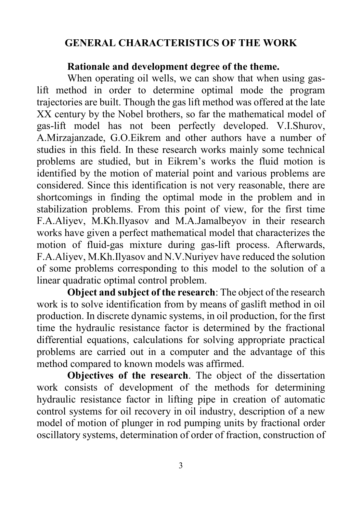## **GENERAL CHARACTERISTICS OF THE WORK**

#### **Rationale and development degree of the theme.**

When operating oil wells, we can show that when using gaslift method in order to determine optimal mode the program trajectories are built. Though the gas lift method was offered at the late XX century by the Nobel brothers, so far the mathematical model of gas-lift model has not been perfectly developed. V.I.Shurov, A.Mirzajanzade, G.O.Eikrem and other authors have a number of studies in this field. In these research works mainly some technical problems are studied, but in Eikrem's works the fluid motion is identified by the motion of material point and various problems are considered. Since this identification is not very reasonable, there are shortcomings in finding the optimal mode in the problem and in stabilization problems. From this point of view, for the first time F.A.Aliyev, M.Kh.Ilyasov and M.A.Jamalbeyov in their research works have given a perfect mathematical model that characterizes the motion of fluid-gas mixture during gas-lift process. Afterwards, F.A.Aliyev, M.Kh.Ilyasov and N.V.Nuriyev have reduced the solution of some problems corresponding to this model to the solution of a linear quadratic optimal control problem.

**Object and subject of the research**: The object of the research work is to solve identification from by means of gaslift method in oil production. In discrete dynamic systems, in oil production, for the first time the hydraulic resistance factor is determined by the fractional differential equations, calculations for solving appropriate practical problems are carried out in a computer and the advantage of this method compared to known models was affirmed.

**Objectives of the research**. The object of the dissertation work consists of development of the methods for determining hydraulic resistance factor in lifting pipe in creation of automatic control systems for oil recovery in oil industry, description of a new model of motion of plunger in rod pumping units by fractional order oscillatory systems, determination of order of fraction, construction of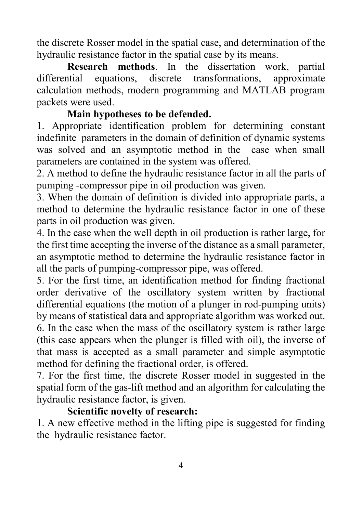the discrete Rosser model in the spatial case, and determination of the hydraulic resistance factor in the spatial case by its means.

**Research methods**. In the dissertation work, partial equations, discrete transformations, approximate differential equations, discrete transformations, approximate calculation methods, modern programming and MATLAB program packets were used.

## **Main hypotheses to be defended.**

1. Appropriate identification problem for determining constant indefinite parameters in the domain of definition of dynamic systems was solved and an asymptotic method in the case when small parameters are contained in the system was offered.

2. A method to define the hydraulic resistance factor in all the parts of pumping -compressor pipe in oil production was given.

3. When the domain of definition is divided into appropriate parts, a method to determine the hydraulic resistance factor in one of these parts in oil production was given.

4. In the case when the well depth in oil production is rather large, for the first time accepting the inverse of the distance as a small parameter, an asymptotic method to determine the hydraulic resistance factor in all the parts of pumping-compressor pipe, was offered.

5. For the first time, an identification method for finding fractional order derivative of the oscillatory system written by fractional differential equations (the motion of a plunger in rod-pumping units) by means of statistical data and appropriate algorithm was worked out. 6. In the case when the mass of the oscillatory system is rather large (this case appears when the plunger is filled with oil), the inverse of that mass is accepted as a small parameter and simple asymptotic method for defining the fractional order, is offered.

7. For the first time, the discrete Rosser model in suggested in the spatial form of the gas-lift method and an algorithm for calculating the hydraulic resistance factor, is given.

## **Scientific novelty of research:**

1. A new effective method in the lifting pipe is suggested for finding the hydraulic resistance factor.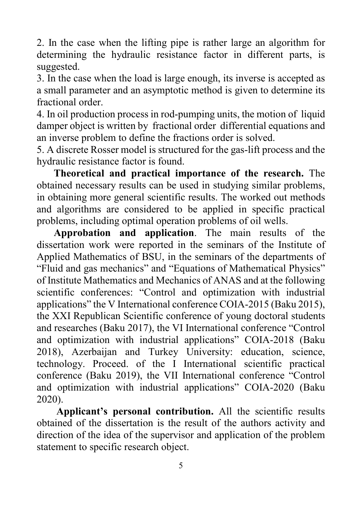2. In the case when the lifting pipe is rather large an algorithm for determining the hydraulic resistance factor in different parts, is suggested.

3. In the case when the load is large enough, its inverse is accepted as a small parameter and an asymptotic method is given to determine its fractional order.

4. In oil production process in rod-pumping units, the motion of liquid damper object is written by fractional order differential equations and an inverse problem to define the fractions order is solved.

5. A discrete Rosser model is structured for the gas-lift process and the hydraulic resistance factor is found.

**Theoretical and practical importance of the research.** The obtained necessary results can be used in studying similar problems, in obtaining more general scientific results. The worked out methods and algorithms are considered to be applied in specific practical problems, including optimal operation problems of oil wells.

**Approbation and application**. The main results of the dissertation work were reported in the seminars of the Institute of Applied Mathematics of BSU, in the seminars of the departments of "Fluid and gas mechanics" and "Equations of Mathematical Physics" of Institute Mathematics and Mechanics of ANAS and at the following scientific conferences: "Control and optimization with industrial applications" the V International conference COIA-2015 (Baku 2015), the XXI Republican Scientific conference of young doctoral students and researches (Baku 2017), the VI International conference "Control and optimization with industrial applications" COIA-2018 (Baku 2018), Azerbaijan and Turkey University: education, science, technology. Proceed. of the I International scientific practical conference (Baku 2019), the VII International conference "Control and optimization with industrial applications" COIA-2020 (Baku 2020).

**Applicant's personal contribution.** All the scientific results obtained of the dissertation is the result of the authors activity and direction of the idea of the supervisor and application of the problem statement to specific research object.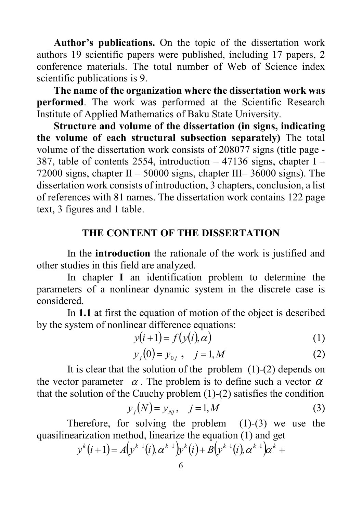**Author's publications.** On the topic of the dissertation work authors 19 scientific papers were published, including 17 papers, 2 conference materials. The total number of Web of Science index scientific publications is 9.

**The name of the organization where the dissertation work was performed**. The work was performed at the Scientific Research Institute of Applied Mathematics of Baku State University.

**Structure and volume of the dissertation (in signs, indicating the volume of each structural subsection separately)** The total volume of the dissertation work consists of 208077 signs (title page - 387, table of contents 2554, introduction  $-47136$  signs, chapter I – 72000 signs, chapter  $II - 50000$  signs, chapter  $III - 36000$  signs). The dissertation work consists of introduction, 3 chapters, conclusion, a list of references with 81 names. The dissertation work contains 122 page text, 3 figures and 1 table.

#### **THE CONTENT OF THE DISSERTATION**

In the **introduction** the rationale of the work is justified and other studies in this field are analyzed.

In chapter **I** an identification problem to determine the parameters of a nonlinear dynamic system in the discrete case is considered.

In **1.1** at first the equation of motion of the object is described by the system of nonlinear difference equations:

$$
y(i+1) = f(y(i), \alpha)
$$
 (1)

$$
y_j(0) = y_{0j}, \quad j = \overline{1,M}
$$
 (2)

It is clear that the solution of the problem (1)-(2) depends on the vector parameter  $\alpha$ . The problem is to define such a vector  $\alpha$ that the solution of the Cauchy problem  $(1)-(2)$  satisfies the condition

$$
y_j(N) = y_{Nj}, \quad j = \overline{1, M} \tag{3}
$$

Therefore, for solving the problem  $(1)-(3)$  we use the quasilinearization method, linearize the equation (1) and get

$$
y^{k}(i+1) = A(y^{k-1}(i), \alpha^{k-1})y^{k}(i) + B(y^{k-1}(i), \alpha^{k-1})\alpha^{k} +
$$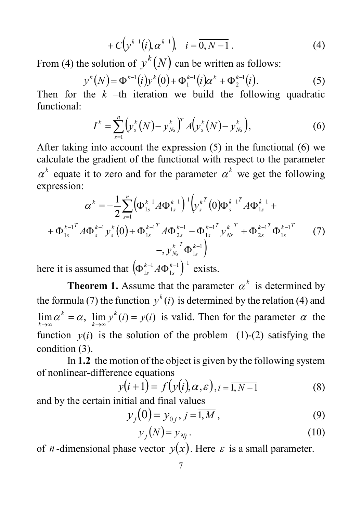$$
+ C\Big(y^{k-1}(i), \alpha^{k-1}\Big), \quad i = \overline{0, N-1} \ . \tag{4}
$$

From (4) the solution of  $y^{k}(N)$  can be written as follows:

$$
y^{k}(N) = \Phi^{k-1}(i)y^{k}(0) + \Phi_1^{k-1}(i)\alpha^{k} + \Phi_2^{k-1}(i).
$$
 (5)

Then for the  $k$  –th iteration we build the following quadratic functional:

$$
I^{k} = \sum_{s=1}^{n} \left( y_{s}^{k}(N) - y_{Ns}^{k} \right)^{T} A \left( y_{s}^{k}(N) - y_{Ns}^{k} \right), \tag{6}
$$

After taking into account the expression (5) in the functional (6) we calculate the gradient of the functional with respect to the parameter  $\alpha^k$  equate it to zero and for the parameter  $\alpha^k$  we get the following expression:

$$
\alpha^{k} = -\frac{1}{2} \sum_{s=1}^{n} (\Phi_{1s}^{k-1} A \Phi_{1s}^{k-1})^{-1} (\nu_{s}^{k} (0) \Phi_{s}^{k-1} A \Phi_{1s}^{k-1} + \Phi_{1s}^{k-1} A \Phi_{1s}^{k-1} A \Phi_{1s}^{k-1})
$$
  
+  $\Phi_{1s}^{k-1} A \Phi_{s}^{k-1} \nu_{s}^{k} (0) + \Phi_{1s}^{k-1} A \Phi_{2s}^{k-1} - \Phi_{1s}^{k-1} \nu_{Ns}^{k} A \Phi_{1s}^{k-1}$   
-,  $\nu_{Ns}^{k} \Phi_{1s}^{k-1}$  (7)

here it is assumed that  $\left(\!\Phi_{\scriptscriptstyle{1s}}^{\scriptscriptstyle{k-1}} A \Phi_{\scriptscriptstyle{1s}}^{\scriptscriptstyle{k-1}}\right)^{\!\!-1}$ 1  $\left(\!\Phi_{\scriptscriptstyle 1s}^{{\scriptscriptstyle k}-1} A \Phi_{\scriptscriptstyle 1s}^{{\scriptscriptstyle k}-1}\right)^{\!\!\!-1}$  $_{1s}^{k-1} A \Phi_{1s}^{k-1}$ <sup>-1</sup> exists.

**Theorem 1.** Assume that the parameter  $\alpha^k$  is determined by the formula (7) the function  $y^{k}(i)$  is determined by the relation (4) and  $\lim_{k \to \infty} \alpha^k = \alpha$ ,  $\lim_{k \to \infty} y^k(i) = y(i)$  $\lim_{k \to \infty} \alpha^k = \alpha$ ,  $\lim_{k \to \infty} y^k(i) = y(i)$  is valid. Then for the parameter  $\alpha$  the function  $y(i)$  is the solution of the problem (1)-(2) satisfying the condition (3).

In **1.2** the motion of the object is given by the following system of nonlinear-difference equations

$$
y(i+1) = f(y(i), \alpha, \varepsilon), i = \overline{1, N-1}
$$
(8)

and by the certain initial and final values

$$
y_j(0) = y_{0j}, j = \overline{1,M},
$$
\n(9)

$$
y_j(N) = y_{Nj}.
$$
 (10)

of *n*-dimensional phase vector  $y(x)$ . Here  $\varepsilon$  is a small parameter.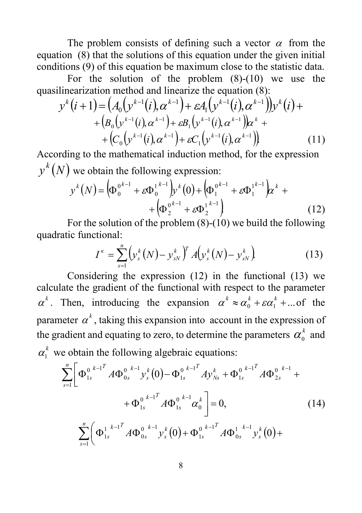The problem consists of defining such a vector  $\alpha$  from the equation (8) that the solutions of this equation under the given initial conditions (9) of this equation be maximum close to the statistic data.

For the solution of the problem  $(8)-(10)$  we use the quasilinearization method and linearize the equation (8):

$$
y^{k}(i+1) = (A_{0}(y^{k-1}(i), \alpha^{k-1}) + \varepsilon A_{1}(y^{k-1}(i), \alpha^{k-1}))y^{k}(i) +
$$
  
+ 
$$
(B_{0}(y^{k-1}(i), \alpha^{k-1}) + \varepsilon B_{1}(y^{k-1}(i), \alpha^{k-1}))\alpha^{k} +
$$
  
+ 
$$
(C_{0}(y^{k-1}(i), \alpha^{k-1}) + \varepsilon C_{1}(y^{k-1}(i), \alpha^{k-1}))
$$
 (11)

According to the mathematical induction method, for the expression  $y^{k}(N)$  we obtain the following expression:

$$
y^{k}(N) = \left(\Phi_0^{0^{k-1}} + \varepsilon \Phi_0^{1^{k-1}}\right) y^{k}(0) + \left(\Phi_1^{0^{k-1}} + \varepsilon \Phi_1^{1^{k-1}}\right) z^{k} + \left(\Phi_2^{0^{k-1}} + \varepsilon \Phi_2^{1^{k-1}}\right)
$$
\n(12)

For the solution of the problem (8)-(10) we build the following quadratic functional:

$$
I^{\kappa} = \sum_{s=1}^{n} \left( y_s^k(N) - y_{sN}^k \right)^T A \left( y_s^k(N) - y_{sN}^k \right) \tag{13}
$$

Considering the expression (12) in the functional (13) we calculate the gradient of the functional with respect to the parameter  $\alpha^k$ . Then, introducing the expansion  $\alpha^k \approx \alpha_0^k + \varepsilon \alpha_1^k + ...$  of the parameter  $\alpha^k$ , taking this expansion into account in the expression of the gradient and equating to zero, to determine the parameters  $\alpha_0^k$  and  $\alpha_1^k$  we obtain the following algebraic equations:

$$
\sum_{s=1}^{n} \left[ \Phi_{1s}^{0} \right]_{s}^{k-1} A \Phi_{0s}^{0} \Big| y_{s}^{k} (0) - \Phi_{1s}^{0} \Big|_{s}^{k-1} A y_{Ns}^{k} + \Phi_{1s}^{0} \Big|_{s}^{k-1} A \Phi_{2s}^{0} \Big|^{k-1} + \Phi_{1s}^{0} \Big| A \Phi_{1s}^{0} \Big|^{k-1} A \Phi_{1s}^{0} \Big|^{k-1} A \Phi_{1s}^{0} \Big|^{k-1} \Big| \Phi_{1s}^{0} \Big|^{k-1} A \Phi_{0s}^{0} \Big|^{k-1} y_{s}^{k} (0) + \Phi_{1s}^{0} \Big|^{k-1} A \Phi_{0s}^{1} \Big| y_{s}^{k} (0) + \Phi_{1s}^{0} \Big|^{k-1} A \Phi_{0s}^{1} \Big| y_{s}^{k} (0) + \Phi_{1s}^{0} \Big|^{k-1} A \Phi_{0s}^{1} \Big|^{k-1} y_{s}^{k} (0) + \Phi_{1s}^{0} \Big|^{k-1} A \Phi_{0s}^{1} \Big|^{k-1} y_{s}^{k} (0) + \Phi_{1s}^{0} \Big|^{k-1} A \Phi_{0s}^{1} \Big|^{k-1} y_{s}^{k} (0) + \Phi_{1s}^{0} \Big|^{k-1} A \Phi_{0s}^{1} \Big|^{k-1} A \Phi_{0s}^{0} \Big|^{k-1} \Big|^{k-1} A \Phi_{0s}^{0} \Big|^{k-1} \Big|^{k-1} A \Phi_{0s}^{0} \Big|^{k-1} \Big|^{k-1} A \Phi_{0s}^{0} \Big|^{k-1} \Big|^{k-1} A \Phi_{0s}^{0} \Big|^{k-1} \Big|^{k-1} A \Phi_{0s}^{0} \Big|^{k-1} \Big|^{k-1} A \Phi_{0s}^{0} \Big|^{k-1} \Big|^{k-1} A \Phi_{0s}^{0} \Big|^{k-1} \Big|^{k-1} A \Phi_{0s}^{0} \Big|^{k-1} \Big|^{k-1} A \Phi_{0s}^{0} \Big|^{k-1} \Big|^{k-1} A \Phi_{0
$$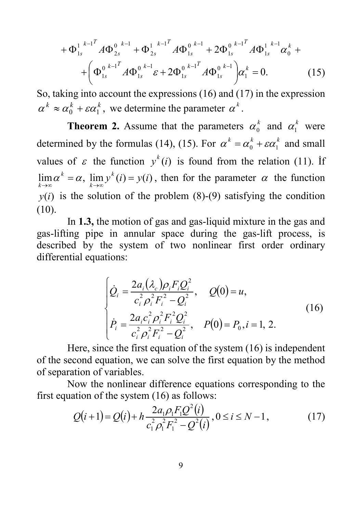$$
+\Phi_{1s}^{1^{k-1}}A\Phi_{2s}^{0^{k-1}} + \Phi_{2s}^{1^{k-1}}A\Phi_{1s}^{0^{k-1}} + 2\Phi_{1s}^{0^{k-1}}A\Phi_{1s}^{1^{k-1}}\alpha_{0}^{k} ++ \left(\Phi_{1s}^{0^{k-1}}A\Phi_{1s}^{0^{k-1}}\varepsilon + 2\Phi_{1s}^{0^{k-1}}A\Phi_{1s}^{0^{k-1}}\right)\alpha_{1}^{k} = 0.
$$
 (15)

So, taking into account the expressions (16) and (17) in the expression  $\alpha^k \approx \alpha_0^k + \varepsilon \alpha_1^k$ , we determine the parameter  $\alpha^k$ .

**Theorem 2.** Assume that the parameters  $\alpha_0^k$  and  $\alpha_1^k$  were determined by the formulas (14), (15). For  $\alpha^k = \alpha_0^k + \varepsilon \alpha_1^k$  and small values of  $\varepsilon$  the function  $y^k(i)$  is found from the relation (11). If  $\lim_{k \to \infty} \alpha^k = \alpha$ ,  $\lim_{k \to \infty} y^k(i) = y(i)$ *k*  $\lim_{k \to \infty} \alpha^k = \alpha$ ,  $\lim_{k \to \infty} y^k(i) = y(i)$ , then for the parameter  $\alpha$  the function  $y(i)$  is the solution of the problem (8)-(9) satisfying the condition (10).

In **1.3,** the motion of gas and gas-liquid mixture in the gas and gas-lifting pipe in annular space during the gas-lift process, is described by the system of two nonlinear first order ordinary differential equations:

$$
\begin{cases}\n\dot{Q}_i = \frac{2a_i(\lambda_c)\rho_i F_i Q_i^2}{c_i^2 \rho_i^2 F_i^2 - Q_i^2}, & Q(0) = u, \\
\dot{P}_i = \frac{2a_i c_i^2 \rho_i^2 F_i^2 Q_i^2}{c_i^2 \rho_i^2 F_i^2 - Q_i^2}, & P(0) = P_0, i = 1, 2.\n\end{cases}
$$
\n(16)

Here, since the first equation of the system (16) is independent of the second equation, we can solve the first equation by the method of separation of variables.

Now the nonlinear difference equations corresponding to the first equation of the system (16) as follows:

$$
Q(i+1) = Q(i) + h \frac{2a_1 \rho_1 F_1 Q^2(i)}{c_1^2 \rho_1^2 F_1^2 - Q^2(i)}, 0 \le i \le N - 1,
$$
\n(17)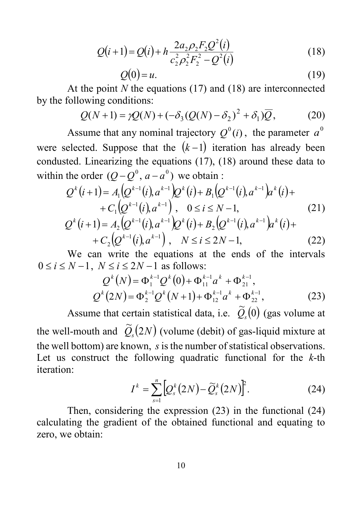$$
Q(i+1) = Q(i) + h \frac{2a_2 \rho_2 F_2 Q^2(i)}{c_2^2 \rho_2^2 F_2^2 - Q^2(i)}
$$
(18)

$$
Q(0) = u.\t\t(19)
$$

At the point *N* the equations (17) and (18) are interconnected by the following conditions:

$$
Q(N+1) = \gamma Q(N) + \left(-\delta_3(Q(N) - \delta_2)^2 + \delta_1\right)\overline{Q},\tag{20}
$$

Assume that any nominal trajectory  $Q^0(i)$ , the parameter  $a^0$ were selected. Suppose that the  $(k-1)$  iteration has already been condusted. Linearizing the equations (17), (18) around these data to within the order  $(Q - Q^0, a - a^0)$  we obtain :

$$
Q^{k}(i+1) = A_{1}(Q^{k-1}(i), a^{k-1})Q^{k}(i) + B_{1}(Q^{k-1}(i), a^{k-1})a^{k}(i) + C_{1}(Q^{k-1}(i), a^{k-1}) , \quad 0 \leq i \leq N-1,
$$
\n
$$
Q^{k}(i+1) = A_{2}(Q^{k-1}(i), a^{k-1})Q^{k}(i) + B_{2}(Q^{k-1}(i), a^{k-1})a^{k}(i) + C_{2}(Q^{k-1}(i), a^{k-1}) , \quad N \leq i \leq 2N-1,
$$
\n(22)

We can write the equations at the ends of the intervals  $0 \le i \le N-1$ ,  $N \le i \le 2N-1$  as follows:

$$
Q^{k}(N) = \Phi_{1}^{k-1} Q^{k}(0) + \Phi_{11}^{k-1} a^{k} + \Phi_{21}^{k-1},
$$
  
\n
$$
Q^{k}(2N) = \Phi_{2}^{k-1} Q^{k}(N+1) + \Phi_{12}^{k-1} a^{k} + \Phi_{22}^{k-1},
$$
\n(23)

Assume that certain statistical data, i.e.  $\widetilde{Q}_s(0)$  (gas volume at the well-mouth and  $\widetilde{Q}_s(2N)$  (volume (debit) of gas-liquid mixture at the well bottom) are known, *s* is the number of statistical observations. Let us construct the following quadratic functional for the *k*-th iteration:

$$
I^k = \sum_{s=1}^n \left[ Q_s^k(2N) - \widetilde{Q}_s^k(2N) \right]^2.
$$
 (24)

Then, considering the expression (23) in the functional (24) calculating the gradient of the obtained functional and equating to zero, we obtain: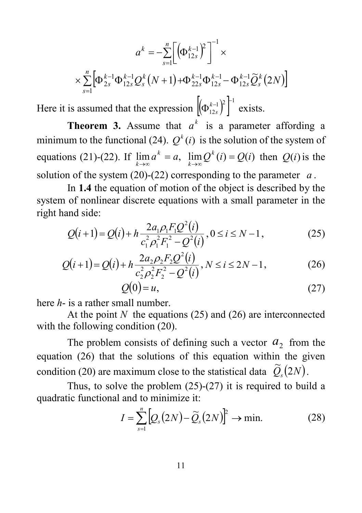$$
a^{k} = -\sum_{s=1}^{n} \left[ \left( \Phi_{12s}^{k-1} \right)^{2} \right]^{-1} \times
$$

$$
\times \sum_{s=1}^{n} \left[ \Phi_{2s}^{k-1} \Phi_{12s}^{k-1} Q_{s}^{k} (N+1) + \Phi_{22s}^{k-1} \Phi_{12s}^{k-1} - \Phi_{12s}^{k-1} \widetilde{Q}_{s}^{k} (2N) \right]
$$

Here it is assumed that the expression  $\left[\left(\Phi_{12s}^{k-1}\right)^2\right]^{-1}$  exists.

**Theorem 3.** Assume that  $a^k$  is a parameter affording a minimum to the functional (24).  $Q^k(i)$  is the solution of the system of equations (21)-(22). If  $\lim_{k \to \infty} a^k = a$ ,  $\lim_{k \to \infty} Q^k(i) = Q(i)$ *k*  $\lim_{k \to \infty} a^k = a$ ,  $\lim_{k \to \infty} Q^k(i) = Q(i)$  then  $Q(i)$  is the solution of the system (20)-(22) corresponding to the parameter *a* .

In **1.4** the equation of motion of the object is described by the system of nonlinear discrete equations with a small parameter in the right hand side:

$$
Q(i+1) = Q(i) + h \frac{2a_1 \rho_1 F_1 Q^2(i)}{c_1^2 \rho_1^2 F_1^2 - Q^2(i)}, 0 \le i \le N - 1,
$$
 (25)

$$
Q(i+1) = Q(i) + h \frac{2a_2 \rho_2 F_2 Q^2(i)}{c_2^2 \rho_2^2 F_2^2 - Q^2(i)}, N \le i \le 2N - 1,
$$
 (26)

$$
Q(0) = u,\t\t(27)
$$

here *h*- is a rather small number.

At the point *N* the equations (25) and (26) are interconnected with the following condition (20).

The problem consists of defining such a vector  $a_2$  from the equation (26) that the solutions of this equation within the given condition (20) are maximum close to the statistical data  $\widetilde{O}_s(2N)$ .

Thus, to solve the problem  $(25)-(27)$  it is required to build a quadratic functional and to minimize it:

$$
I = \sum_{s=1}^{n} \left[ Q_s(2N) - \widetilde{Q}_s(2N) \right]^2 \to \min. \tag{28}
$$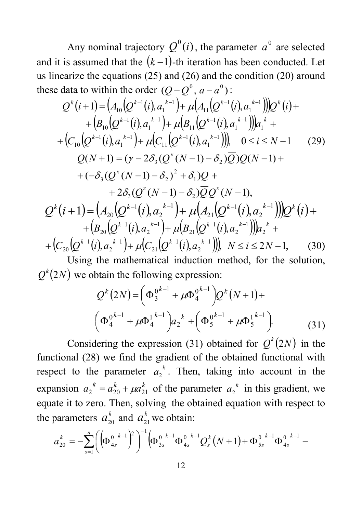Any nominal trajectory  $Q^{0}(i)$ , the parameter  $a^{0}$  are selected and it is assumed that the  $(k-1)$ -th iteration has been conducted. Let us linearize the equations (25) and (26) and the condition (20) around these data to within the order  $(O - O^0, a - a^0)$ :

( + ) = ( ( ( ) )+ ( ( ( ) ))) ( )+ <sup>−</sup> <sup>−</sup> <sup>−</sup> <sup>−</sup> *Q i A Q i a A Q i a Q i <sup>k</sup> <sup>k</sup> <sup>k</sup> <sup>k</sup> <sup>k</sup>* <sup>1</sup> *<sup>k</sup>* 1 1 11 1 1 1 <sup>10</sup> 1 , <sup>µ</sup> , + ( ( ( ) )+ ( ( ( ) ))) + *<sup>k</sup>*<sup>−</sup> *<sup>k</sup>*<sup>−</sup> *<sup>k</sup>*<sup>−</sup> *<sup>k</sup>*<sup>−</sup> *<sup>k</sup> B Q i a B Q i a a*<sup>1</sup> 1 1 1 11 1 1 1 <sup>10</sup> , <sup>µ</sup> , ( ( ( ), ) ( ( ( ), ))), <sup>1</sup> 1 1 11 1 1 1 10 <sup>−</sup> <sup>−</sup> <sup>−</sup> <sup>−</sup> + + *<sup>k</sup> <sup>k</sup> <sup>k</sup> <sup>k</sup> C Q i a* <sup>µ</sup> *C Q i a* 0 ≤ *i* ≤ *N* −1 (29) + − − − + + + = − − − − + *Q N Q Q N Q N Q Q N к к* ( ( ( 1) ) ) ( 1) ( 2 ( ( 1) ) ) ( 1) 1 2 3 2 3 2 δ δ δ γ δ δ 2 ( ( 1) ) ( 1), + <sup>3</sup> *Q N* − − <sup>2</sup> *QQ N* − *<sup>к</sup> <sup>к</sup>* <sup>δ</sup> <sup>δ</sup> ( + ) = ( ( ( ) )+ ( ( ( ) ))) ( )+ <sup>−</sup> <sup>−</sup> <sup>−</sup> <sup>−</sup> *Q i A Q i a A Q i a Q i <sup>k</sup> <sup>k</sup> <sup>k</sup> <sup>k</sup> <sup>k</sup>* <sup>1</sup> *<sup>k</sup>* 2 1 21 1 2 1 <sup>20</sup> 1 , <sup>µ</sup> , + ( ( ( ) )+ ( ( ( ) ))) + *<sup>k</sup>*<sup>−</sup> *<sup>k</sup>*<sup>−</sup> *<sup>k</sup>*<sup>−</sup> *<sup>k</sup>*<sup>−</sup> *<sup>k</sup> B Q i a B Q i a a*<sup>2</sup> 1 2 1 21 1 2 1 <sup>20</sup> , <sup>µ</sup> , ( ( ( ), ) ( ( ( ), ))), <sup>1</sup> 2 1 21 1 2 1 20 <sup>−</sup> <sup>−</sup> <sup>−</sup> <sup>−</sup> + + *<sup>k</sup> <sup>k</sup> <sup>k</sup> <sup>k</sup> C Q i a* <sup>µ</sup> *C Q i a N* ≤ *i* ≤ 2*N* −1, (30)

Using the mathematical induction method, for the solution,  $Q^{k}(2N)$  we obtain the following expression:

$$
Q^{k}(2N) = \left(\Phi_{3}^{0^{k-1}} + \mu \Phi_{4}^{0^{k-1}}\right)Q^{k}(N+1) +
$$

$$
\left(\Phi_{4}^{0^{k-1}} + \mu \Phi_{4}^{1^{k-1}}\right)a_{2}^{k} + \left(\Phi_{5}^{0^{k-1}} + \mu \Phi_{5}^{1^{k-1}}\right).
$$
(31)

Considering the expression (31) obtained for  $Q^{k}(2N)$  in the functional (28) we find the gradient of the obtained functional with respect to the parameter  $a_2^k$ . Then, taking into account in the expansion  $a_2^k = a_{20}^k + \mu a_{21}^k$  of the parameter  $a_2^k$  in this gradient, we equate it to zero. Then, solving the obtained equation with respect to the parameters  $a_{20}^k$  and  $a_{21}^k$  we obtain:

$$
a_{20}^k = -\sum_{s=1}^n \left( \left( \Phi_{4s}^{0,k-1} \right)^2 \right)^{-1} \left( \Phi_{3s}^{0,k-1} \Phi_{4s}^{0,k-1} Q_s^k (N+1) + \Phi_{5s}^{0,k-1} \Phi_{4s}^{0,k-1} - \right)
$$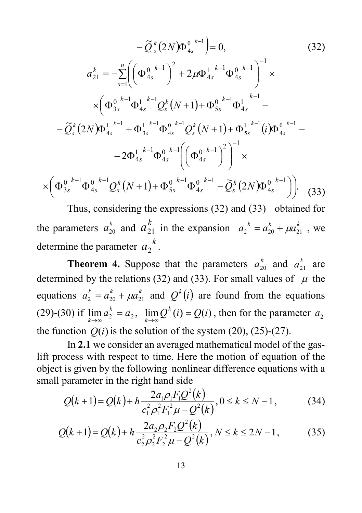$$
-\tilde{Q}_{s}^{k}(2N)\Phi_{4s}^{0,k-1} = 0, \qquad (32)
$$
  
\n
$$
a_{21}^{k} = -\sum_{s=1}^{n} \left( \Phi_{4s}^{0,k-1} \right)^{2} + 2\mu \Phi_{4s}^{1,k-1} \Phi_{4s}^{0,k-1} \Big)^{-1} \times
$$
  
\n
$$
\times \left( \Phi_{3s}^{0,k-1} \Phi_{4s}^{1,k-1} Q_{s}^{k}(N+1) + \Phi_{5s}^{0,k-1} \Phi_{4s}^{1,k-1} - \tilde{Q}_{s}^{k}(2N) \Phi_{4s}^{1,k-1} + \Phi_{3s}^{1,k-1} \Phi_{4s}^{0,k-1} Q_{s}^{k}(N+1) + \Phi_{5s}^{1,k-1}(i) \Phi_{4s}^{0,k-1} - 2\Phi_{4s}^{1,k-1} \Phi_{4s}^{0,k-1} \left( \Phi_{4s}^{0,k-1} \right)^{2} \right)^{-1} \times
$$
  
\n
$$
\times \left( \Phi_{3s}^{0,k-1} \Phi_{4s}^{0,k-1} Q_{s}^{k}(N+1) + \Phi_{5s}^{0,k-1} \Phi_{4s}^{0,k-1} - \tilde{Q}_{s}^{k}(2N) \Phi_{4s}^{0,k-1} \right) \right). \qquad (33)
$$

Thus, considering the expressions (32) and (33) obtained for the parameters  $a_{20}^k$  and  $a_{21}^k$  in the expansion  $a_2^k = a_{20}^k + \mu a_{21}^k$ , we determine the parameter  $a_2^{\ k}$ .

**Theorem 4.** Suppose that the parameters  $a_{20}^k$  and  $a_{21}^k$  are determined by the relations (32) and (33). For small values of  $\mu$  the equations  $a_2^k = a_{20}^k + \mu a_{21}^k$  and  $Q^k(i)$  are found from the equations (29)-(30) if  $\lim_{k \to \infty} a_2^k = a_2$ ,  $\lim_{k \to \infty} Q^k(i) = Q(i)$  $\lim_{k \to \infty} a_2^k = a_2$ ,  $\lim_{k \to \infty} Q^k(i) = Q(i)$ , then for the parameter  $a_2$ the function  $Q(i)$  is the solution of the system (20), (25)-(27).

In **2.1** we consider an averaged mathematical model of the gaslift process with respect to time. Here the motion of equation of the object is given by the following nonlinear difference equations with a small parameter in the right hand side

$$
Q(k+1) = Q(k) + h \frac{2a_1 \rho_1 F_1 Q^2(k)}{c_1^2 \rho_1^2 F_1^2 \mu - Q^2(k)}, 0 \le k \le N - 1,
$$
 (34)

$$
Q(k+1) = Q(k) + h \frac{2a_2 \rho_2 F_2 Q^2(k)}{c_2^2 \rho_2^2 F_2^2 \mu - Q^2(k)}, N \le k \le 2N - 1,
$$
 (35)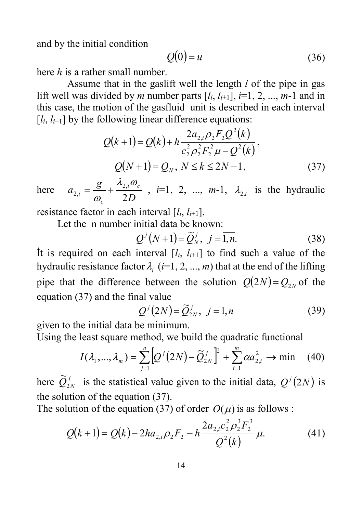and by the initial condition

$$
Q(0) = u \tag{36}
$$

here *h* is a rather small number.

Assume that in the gaslift well the length *l* of the pipe in gas lift well was divided by *m* number parts  $[i, i_{i+1}]$ ,  $i=1, 2, ..., m-1$  and in this case, the motion of the gasfluid unit is described in each interval  $[i, i_{i+1}]$  by the following linear difference equations:

$$
Q(k+1) = Q(k) + h \frac{2a_{2,i}\rho_2 F_2 Q^2(k)}{c_2^2 \rho_2^2 F_2^2 \mu - Q^2(k)},
$$
  

$$
Q(N+1) = Q_N, N \le k \le 2N - 1,
$$
 (37)

here  $a_{2,i} = \frac{g}{\omega_c} + \frac{\lambda_{2,i}\omega_c}{2D}$  $i = \omega_c$  2 2, 2,  $=\frac{g}{\omega_a}+\frac{\lambda_{2,i}\omega_c}{2D}$ , *i*=1, 2, ..., *m*-1,  $\lambda_{2,i}$  is the hydraulic

resistance factor in each interval  $[l_i, l_{i+1}]$ .

Let the n number initial data be known:

$$
Q^{j}(N+1) = \widetilde{Q}_{N}^{j}, \ j = \overline{1,n}.
$$
 (38)

It is required on each interval  $[i, i_{i+1}]$  to find such a value of the hydraulic resistance factor  $\lambda_i$  (*i*=1, 2, ..., *m*) that at the end of the lifting pipe that the difference between the solution  $Q(2N) = Q_{2N}$  of the equation (37) and the final value

$$
Q^{j}(2N) = \widetilde{Q}_{2N}^{j}, \quad j = \overline{1,n}
$$
 (39)

given to the initial data be minimum.

Using the least square method, we build the quadratic functional

$$
I(\lambda_1, ..., \lambda_m) = \sum_{j=1}^n \left[ Q^j (2N) - \widetilde{Q}_{2N}^j \right]^2 + \sum_{i=1}^m \alpha a_{2,i}^2 \to \min \quad (40)
$$

here  $\widetilde{Q}_{2N}^{j}$  is the statistical value given to the initial data,  $Q^{j}(2N)$  is the solution of the equation (37).

The solution of the equation (37) of order  $O(\mu)$  is as follows :

$$
Q(k+1) = Q(k) - 2ha_{2,i}\rho_2F_2 - h\frac{2a_{2,i}c_2^2\rho_2^3F_2^3}{Q^2(k)}\mu.
$$
 (41)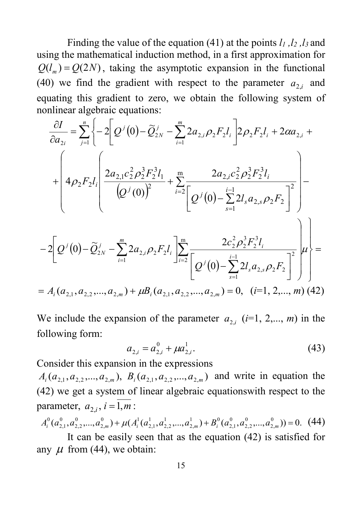Finding the value of the equation (41) at the points  $l_1$ ,  $l_2$ ,  $l_3$  and using the mathematical induction method, in a first approximation for  $Q(l_m) = Q(2N)$ , taking the asymptotic expansion in the functional (40) we find the gradient with respect to the parameter  $a_{2,i}$  and equating this gradient to zero, we obtain the following system of nonlinear algebraic equations:

$$
\frac{\partial I}{\partial a_{2i}} = \sum_{j=1}^{n} \left\{ -2 \left[ Q^{j}(0) - \widetilde{Q}_{2N}^{j} - \sum_{i=1}^{m} 2a_{2,i} \rho_{2} F_{2} l_{i} \right] 2 \rho_{2} F_{2} l_{i} + 2 \alpha a_{2,i} + \right.
$$
\n
$$
+ \left( 4 \rho_{2} F_{2} l_{i} \left( \frac{2a_{2,1} c_{2}^{2} \rho_{2}^{3} F_{2}^{3} l_{1}}{(Q^{j}(0))^{2}} + \sum_{i=2}^{m} \frac{2a_{2,i} c_{2}^{2} \rho_{2}^{3} F_{2}^{3} l_{i}}{Q^{j}(0) - \sum_{s=1}^{i-1} 2l_{s} a_{2,s} \rho_{2} F_{2} \right] - 2 \left[ Q^{j}(0) - \widetilde{Q}_{2N}^{j} - \sum_{i=1}^{m} 2a_{2,i} \rho_{2} F_{2} l_{i} \right] \sum_{i=2}^{m} \frac{2c_{2}^{2} \rho_{2}^{3} F_{2}^{3} l_{i}}{Q^{j}(0) - \sum_{s=1}^{i-1} 2l_{s} a_{2,s} \rho_{2} F_{2} \right] \mu \right\} =
$$
\n
$$
= A_{i}(a_{2,1}, a_{2,2}, ..., a_{2,m}) + \mu B_{i}(a_{2,1}, a_{2,2}, ..., a_{2,m}) = 0, \quad (i=1, 2, ..., m) \tag{42}
$$

We include the expansion of the parameter  $a_{2,i}$  ( $i=1, 2,..., m$ ) in the following form:

$$
a_{2,i} = a_{2,i}^0 + \mu a_{2,i}^1. \tag{43}
$$

Consider this expansion in the expressions

 $A_i(a_{2,1}, a_{2,2},..., a_{2,m})$ ,  $B_i(a_{2,1}, a_{2,2},..., a_{2,m})$  and write in equation the (42) we get a system of linear algebraic equationswith respect to the parameter,  $a_{2i}$ ,  $i = \overline{1,m}$ :

$$
A_i^0(a_{2,1}^0, a_{2,2}^0, ..., a_{2,m}^0) + \mu(A_i^1(a_{2,1}^1, a_{2,2}^1, ..., a_{2,m}^1) + B_i^0(a_{2,1}^0, a_{2,2}^0, ..., a_{2,m}^0)) = 0. \tag{44}
$$

It can be easily seen that as the equation (42) is satisfied for any  $\mu$  from (44), we obtain: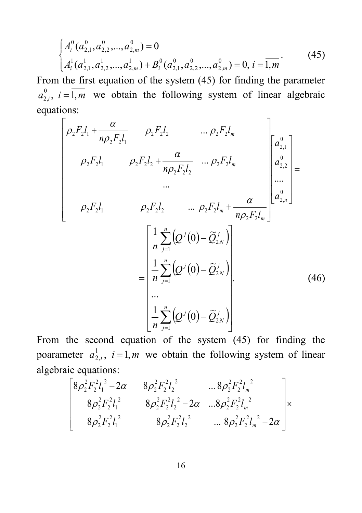$$
\begin{cases} A_i^0(a_{2,1}^0, a_{2,2}^0, ..., a_{2,m}^0) = 0 \\ A_i^1(a_{2,1}^1, a_{2,2}^1, ..., a_{2,m}^1) + B_i^0(a_{2,1}^0, a_{2,2}^0, ..., a_{2,m}^0) = 0, i = \overline{1,m} \end{cases} (45)
$$

From the first equation of the system (45) for finding the parameter  $a_{2,i}^0$ ,  $i = 1, m$  we obtain the following system of linear algebraic equations:

$$
\begin{bmatrix}\n\rho_{2}F_{2}l_{1} + \frac{\alpha}{n\rho_{2}F_{2}l_{1}} & \rho_{2}F_{2}l_{2} & \dots \rho_{2}F_{2}l_{m} \\
\rho_{2}F_{2}l_{1} & \rho_{2}F_{2}l_{2} + \frac{\alpha}{n\rho_{2}F_{2}l_{2}} & \dots \rho_{2}F_{2}l_{m} \\
\vdots & \vdots & \vdots \\
\rho_{2}F_{2}l_{1} & \rho_{2}F_{2}l_{2} & \dots \rho_{2}F_{2}l_{m} + \frac{\alpha}{n\rho_{2}F_{2}l_{m}}\n\end{bmatrix}\n\begin{bmatrix}\na_{2,1}^{0} \\
a_{2,2}^{0} \\
\vdots \\
a_{n,n}^{0}\n\end{bmatrix} = \n\begin{bmatrix}\n\frac{1}{n} \sum_{j=1}^{n} \left(Q^{j}(0) - \tilde{Q}_{2N}^{j}\right) \\
\frac{1}{n} \sum_{j=1}^{n} \left(Q^{j}(0) - \tilde{Q}_{2N}^{j}\right) \\
\vdots \\
\frac{1}{n} \sum_{j=1}^{n} \left(Q^{j}(0) - \tilde{Q}_{2N}^{j}\right)\n\end{bmatrix}.
$$
\n(46)

From the second equation of the system (45) for finding the poarameter  $a_{2,i}^1$ ,  $i = \overline{1,m}$  we obtain the following system of linear algebraic equations:

$$
\begin{bmatrix} 8\rho_2^2 F_2^2 l_1^2 - 2\alpha & 8\rho_2^2 F_2^2 l_2^2 & \dots 8\rho_2^2 F_2^2 l_m^2 \\ 8\rho_2^2 F_2^2 l_1^2 & 8\rho_2^2 F_2^2 l_2^2 - 2\alpha & \dots 8\rho_2^2 F_2^2 l_m^2 \\ 8\rho_2^2 F_2^2 l_1^2 & 8\rho_2^2 F_2^2 l_2^2 & \dots 8\rho_2^2 F_2^2 l_m^2 - 2\alpha \end{bmatrix} \times
$$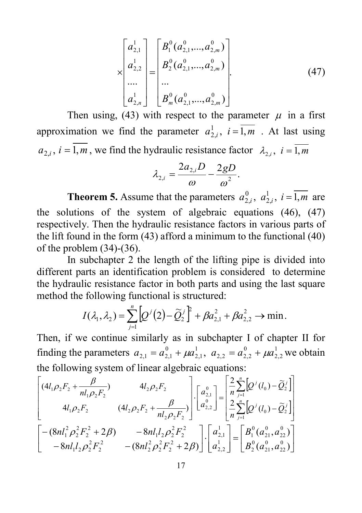$$
\begin{bmatrix} a_{2,1}^{1} \\ a_{2,2}^{1} \\ \cdots \\ a_{2,n}^{1} \end{bmatrix} = \begin{bmatrix} B_{1}^{0}(a_{2,1}^{0},...,a_{2,m}^{0}) \\ B_{2}^{0}(a_{2,1}^{0},...,a_{2,m}^{0}) \\ \cdots \\ B_{m}^{0}(a_{2,1}^{0},...,a_{2,m}^{0}) \end{bmatrix} .
$$
 (47)

Then using, (43) with respect to the parameter  $\mu$  in a first approximation we find the parameter  $a_{2,i}^1$ ,  $i = \overline{1,m}$  . At last using  $a_{2,i}$ ,  $i = \overline{1,m}$ , we find the hydraulic resistance factor  $\lambda_{2,i}$ ,  $i = \overline{1,m}$ 

$$
\lambda_{2,i} = \frac{2a_{2,i}D}{\omega} - \frac{2gD}{\omega^2}.
$$

**Theorem 5.** Assume that the parameters  $a_{2,i}^0$ ,  $a_{2,i}^1$ ,  $i = \overline{1,m}$  are the solutions of the system of algebraic equations (46), (47) respectively. Then the hydraulic resistance factors in various parts of the lift found in the form (43) afford a minimum to the functional (40) of the problem (34)-(36).

In subchapter 2 the length of the lifting pipe is divided into different parts an identification problem is considered to determine the hydraulic resistance factor in both parts and using the last square method the following functional is structured:

$$
I(\lambda_1, \lambda_2) = \sum_{j=1}^n \left[ Q^{j}(2) - \widetilde{Q}_2^{j} \right]^{2} + \beta a_{2,1}^{2} + \beta a_{2,2}^{2} \rightarrow \min.
$$

Then, if we continue similarly as in subchapter I of chapter II for finding the parameters  $a_{2,1} = a_{2,1}^0 + \mu a_{2,1}^1$ ,  $a_{2,2} = a_{2,2}^0 + \mu a_{2,2}^1$  $\boldsymbol{0}$  $2,2 - u_{2,2}$ 1 2,1  $a_{2,1} = a_{2,1}^0 + \mu a_{2,1}^1$ ,  $a_{2,2} = a_{2,2}^0 + \mu a_{2,2}^1$  we obtain the following system of linear algebraic equations:

$$
\begin{bmatrix}\n(4l_1 \rho_2 F_2 + \frac{\beta}{n l_1 \rho_2 F_2}) & 4l_2 \rho_2 F_2 \\
4l_1 \rho_2 F_2 & (4l_2 \rho_2 F_2 + \frac{\beta}{n l_2 \rho_2 F_2})\n\end{bmatrix}\n\begin{bmatrix}\na_{2,1}^0 \\
a_{2,2}^0\n\end{bmatrix}\n=\n\begin{bmatrix}\n\frac{2}{n} \sum_{j=1}^n \left[ Q^j(l_0) - \tilde{Q}_2^j \right] \\
\frac{2}{n} \sum_{j=1}^n \left[ Q^j(l_0) - \tilde{Q}_2^j \right] \\
-8n l_1 l_2 \rho_2^2 F_2^2 & -8n l_1 l_2 \rho_2^2 F_2^2 + 2\beta\n\end{bmatrix}\n\begin{bmatrix}\na_{2,1}^1 \\
a_{2,2}^0\n\end{bmatrix}\n=\n\begin{bmatrix}\nB_1^0(a_{21}^0, a_{22}^0) \\
B_2^0(a_{21}^0, a_{22}^0)\n\end{bmatrix}
$$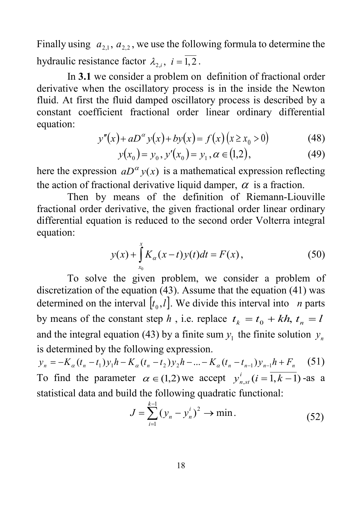Finally using  $a_{2,1}$ ,  $a_{2,2}$ , we use the following formula to determine the hydraulic resistance factor  $\lambda_{i,i}$ ,  $i = \overline{1,2}$ .

In **3.1** we consider a problem on definition of fractional order derivative when the oscillatory process is in the inside the Newton fluid. At first the fluid damped oscillatory process is described by a constant coefficient fractional order linear ordinary differential equation:

$$
y''(x) + aD^{\alpha} y(x) + by(x) = f(x) (x \ge x_0 > 0)
$$
 (48)

$$
y(x_0) = y_0, y'(x_0) = y_1, \alpha \in (1, 2), \tag{49}
$$

here the expression  $aD^{\alpha}y(x)$  is a mathematical expression reflecting the action of fractional derivative liquid damper,  $\alpha$  is a fraction.

Then by means of the definition of Riemann-Liouville fractional order derivative, the given fractional order linear ordinary differential equation is reduced to the second order Volterra integral equation:

$$
y(x) + \int_{x_0}^{x} K_{\alpha}(x - t)y(t)dt = F(x),
$$
\n(50)

To solve the given problem, we consider a problem of discretization of the equation (43). Assume that the equation (41) was determined on the interval  $[t_0, l]$ . We divide this interval into *n* parts by means of the constant step *h*, i.e. replace  $t_k = t_0 + kh$ ,  $t_n = l$ and the integral equation (43) by a finite sum  $y_1$  the finite solution  $y_n$ is determined by the following expression.

 $y_n = -K_{\alpha}(t_n - t_1)y_1h - K_{\alpha}(t_n - t_2)y_2h - ... - K_{\alpha}(t_n - t_{n-1})y_{n-1}h + F_n$  (51) To find the parameter  $\alpha \in (1, 2)$  we accept  $y_{n, st}^i (i = \overline{1, k-1})$ -as a statistical data and build the following quadratic functional:

$$
J = \sum_{i=1}^{k-1} (y_n - y_n^i)^2 \to \min. \tag{52}
$$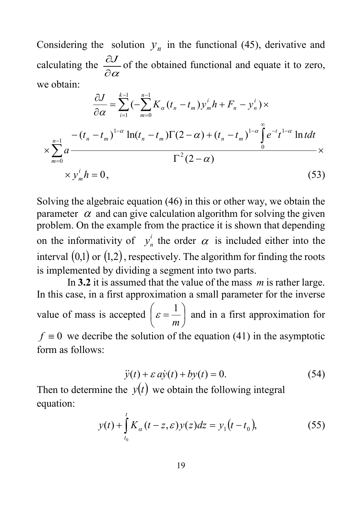Considering the solution  $y_n$  in the functional (45), derivative and calculating the  $\frac{\partial S}{\partial \alpha}$ <sup>∂</sup>*<sup>J</sup>* of the obtained functional and equate it to zero, we obtain:

$$
\frac{\partial J}{\partial \alpha} = \sum_{i=1}^{k-1} \left( -\sum_{m=0}^{n-1} K_{\alpha} (t_n - t_m) y_m^i h + F_n - y_n^i \right) \times
$$
  

$$
\times \sum_{m=0}^{n-1} a \frac{- (t_n - t_m)^{1-\alpha} \ln(t_n - t_m) \Gamma(2-\alpha) + (t_n - t_m)^{1-\alpha} \int_{0}^{\infty} e^{-t} t^{1-\alpha} \ln t dt}{\Gamma^2 (2-\alpha)} \times
$$
  

$$
\times y_m^i h = 0,
$$
 (53)

Solving the algebraic equation (46) in this or other way, we obtain the parameter  $\alpha$  and can give calculation algorithm for solving the given problem. On the example from the practice it is shown that depending on the informativity of  $y_n^i$  the order  $\alpha$  is included either into the interval  $(0,1)$  or  $(1,2)$ , respectively. The algorithm for finding the roots is implemented by dividing a segment into two parts.

In **3.2** it is assumed that the value of the mass *m* is rather large. In this case, in a first approximation a small parameter for the inverse value of mass is accepted  $\left| \varepsilon = - \right|$ J  $\left(\varepsilon = \frac{1}{\epsilon}\right)$  $\left(\varepsilon = \frac{1}{m}\right)$  and in a first approximation for  $f \equiv 0$  we decribe the solution of the equation (41) in the asymptotic form as follows:

$$
\ddot{y}(t) + \varepsilon a\dot{y}(t) + by(t) = 0.
$$
\n(54)

Then to determine the  $y(t)$  we obtain the following integral equation:

$$
y(t) + \int_{t_0}^{t} K_{\alpha}(t - z, \varepsilon) y(z) dz = y_1(t - t_0),
$$
 (55)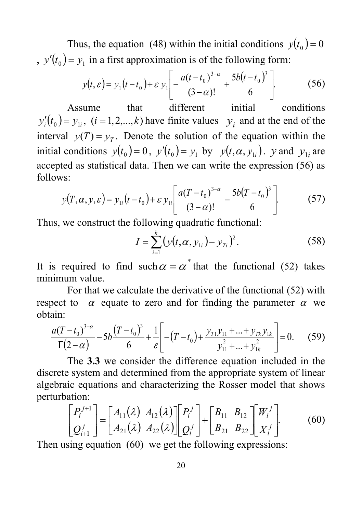Thus, the equation (48) within the initial conditions  $y(t_0) = 0$ ,  $y'(t_0) = y_1$  in a first approximation is of the following form:

$$
y(t,\varepsilon) = y_1(t-t_0) + \varepsilon y_1 \left[ -\frac{a(t-t_0)^{3-\alpha}}{(3-\alpha)!} + \frac{5b(t-t_0)^3}{6} \right].
$$
 (56)

Assume that different initial conditions  $y_i'(t_0) = y_{1i}$ ,  $(i = 1,2,...,k)$  have finite values  $y_i$  and at the end of the interval  $y(T) = y_T$ . Denote the solution of the equation within the initial conditions  $y(t_0) = 0$ ,  $y'(t_0) = y_1$  by  $y(t, \alpha, y_1)$ . y and  $y_1$  are accepted as statistical data. Then we can write the expression (56) as follows:

$$
y(T, \alpha, y, \varepsilon) = y_{1i}(t - t_0) + \varepsilon y_{1i} \left[ \frac{a(T - t_0)^{3-\alpha}}{(3-\alpha)!} - \frac{5b(T - t_0)^3}{6} \right].
$$
 (57)

Thus, we construct the following quadratic functional:

$$
I = \sum_{i=1}^{k} \left( y(t, \alpha, y_{1i}) - y_{Ti} \right)^2.
$$
 (58)

It is required to find such  $\alpha = \alpha^*$  that the functional (52) takes minimum value.

For that we calculate the derivative of the functional (52) with respect to  $\alpha$  equate to zero and for finding the parameter  $\alpha$  we obtain:

$$
\frac{a(T-t_0)^{3-\alpha}}{\Gamma(2-\alpha)} - 5b\frac{(T-t_0)^3}{6} + \frac{1}{\varepsilon} \left[ -(T-t_0) + \frac{y_{T1}y_{11} + ... + y_{Tk}y_{1k}}{y_{11}^2 + ... + y_{1k}^2} \right] = 0.
$$
 (59)

The **3.3** we consider the difference equation included in the discrete system and determined from the appropriate system of linear algebraic equations and characterizing the Rosser model that shows perturbation:

$$
\begin{bmatrix} P_i^{j+1} \\ Q_{i+1}^j \end{bmatrix} = \begin{bmatrix} A_{11}(\lambda) & A_{12}(\lambda) \\ A_{21}(\lambda) & A_{22}(\lambda) \end{bmatrix} \begin{bmatrix} P_i^j \\ Q_i^j \end{bmatrix} + \begin{bmatrix} B_{11} & B_{12} \\ B_{21} & B_{22} \end{bmatrix} \begin{bmatrix} W_i^j \\ X_i^j \end{bmatrix}
$$
(60)

Then using equation (60) we get the following expressions: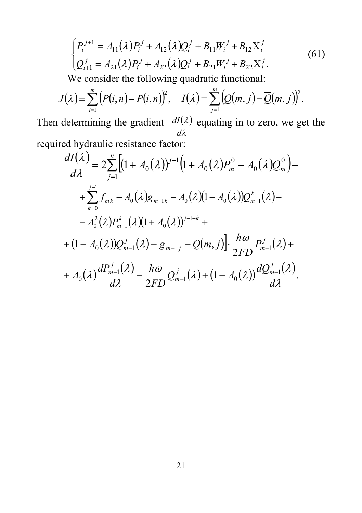$$
\begin{cases}\nP_i^{j+1} = A_{11}(\lambda)P_i^j + A_{12}(\lambda)Q_i^j + B_{11}W_i^j + B_{12}X_i^j \\
Q_{i+1}^j = A_{21}(\lambda)P_i^j + A_{22}(\lambda)Q_i^j + B_{21}W_i^j + B_{22}X_i^j.\n\end{cases} \tag{61}
$$

We consider the following quadratic functional:

$$
J(\lambda) = \sum_{i=1}^m \big(P(i,n) - \overline{P}(i,n)\big)^2, \quad I(\lambda) = \sum_{j=1}^m \big(Q(m,j) - \overline{Q}(m,j)\big)^2.
$$

Then determining the gradient  $dI(\lambda)$ λ λ *d*  $\frac{dI(\lambda)}{d\lambda}$  equating in to zero, we get the required hydraulic resistance factor:

$$
\frac{dI(\lambda)}{d\lambda} = 2 \sum_{j=1}^{n} \Big[ (1 + A_0(\lambda))^{j-1} \Big( 1 + A_0(\lambda) P_m^0 - A_0(\lambda) Q_m^0 \Big) +
$$
  
+ 
$$
\sum_{k=0}^{j-1} f_{mk} - A_0(\lambda) g_{m-1k} - A_0(\lambda) (1 - A_0(\lambda)) Q_{m-1}^k(\lambda) -
$$
  
- 
$$
A_0^2(\lambda) P_{m-1}^k(\lambda) (1 + A_0(\lambda))^{j-1-k} +
$$
  
+ 
$$
(1 - A_0(\lambda)) Q_{m-1}^j(\lambda) + g_{m-1j} - \overline{Q}(m, j) \Big] \cdot \frac{h\omega}{2FD} P_{m-1}^j(\lambda) +
$$
  
+ 
$$
A_0(\lambda) \frac{dP_{m-1}^j(\lambda)}{d\lambda} - \frac{h\omega}{2FD} Q_{m-1}^j(\lambda) + (1 - A_0(\lambda)) \frac{dQ_{m-1}^j(\lambda)}{d\lambda}.
$$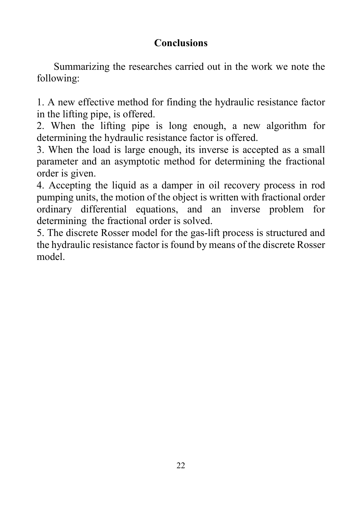## **Conclusions**

Summarizing the researches carried out in the work we note the following:

1. A new effective method for finding the hydraulic resistance factor in the lifting pipe, is offered.

2. When the lifting pipe is long enough, a new algorithm for determining the hydraulic resistance factor is offered.

3. When the load is large enough, its inverse is accepted as a small parameter and an asymptotic method for determining the fractional order is given.

4. Accepting the liquid as a damper in oil recovery process in rod pumping units, the motion of the object is written with fractional order ordinary differential equations, and an inverse problem for determining the fractional order is solved.

5. The discrete Rosser model for the gas-lift process is structured and the hydraulic resistance factor is found by means of the discrete Rosser model.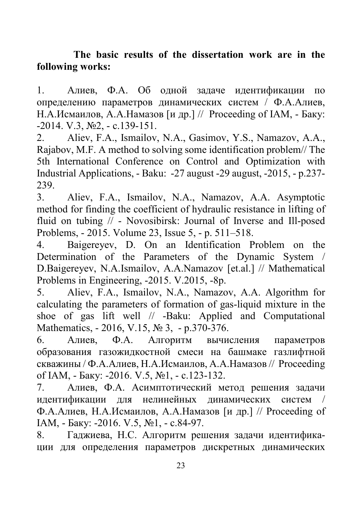## **The basic results of the dissertation work are in the following works:**

1. Алиев, Ф.А. Об одной задаче идентификации по определению параметров динамических систем / Ф.А.Алиев, Н.А.Исмаилов, А.А.Намазов [и др.] // Proceeding of IAM, - Баку: -2014. V.3, №2, - с.139-151.

2. Aliev, F.A., Ismailov, N.A., Gasimov, Y.S., Namazov, A.A., Rajabov, M.F. A method to solving some identification problem// The 5th International Conference on Control and Optimization with Industrial Applications, - Baku: -27 august -29 august, -2015, - p.237-  $\frac{239}{3}$ .

3. Aliev, F.A., Ismailov, N.A., Namazov, A.A. Asymptotic method for finding the coefficient of hydraulic resistance in lifting of fluid on tubing // - Novosibirsk: Journal of Inverse and Ill-posed Problems, - 2015. Volume 23, Issue 5, - p. 511–518.

4. Baigereyev, D. On an Identification Problem on the Determination of the Parameters of the Dynamic System / D.Baigereyev, N.A.Ismailov, A.A.Namazov [et.al.] // Mathematical Problems in Engineering, -2015. V.2015, -8p.

5. Aliev, F.A., Ismailov, N.A., Namazov, A.A. Algorithm for calculating the parameters of formation of gas-liquid mixture in the shoe of gas lift well // -Baku: Applied and Computational Mathematics, - 2016, V.15, № 3, - p.370-376.

6. Алиев, Ф.А. Алгоритм вычисления параметров образования газожидкостной смеси на башмаке газлифтной скважины / Ф.А.Алиев, Н.А.Исмаилов, А.А.Намазов // Proceeding of IAM, - Баку: -2016. V.5, №1, - с.123-132.

7. Алиев, Ф.А. Асимптотический метод решения задачи илентификации лля нелинейных линамических систем Ф.А.Алиев, Н.А.Исмаилов, А.А.Намазов [и др.] // Proceeding of IAM, - Баку: -2016. V.5, №1, - с.84-97.

8. Гаджиева, Н.С. Алгоритм решения задачи идентификации для определения параметров дискретных динамических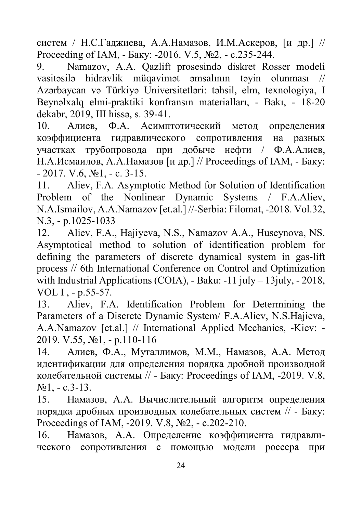систем / Н.С.Гаджиева, А.А.Намазов, И.М.Аскеров, [и др.] // Proceeding of IAM, - Баку: -2016. V.5, №2, - с.235-244.

9. Namazov, A.A. Qazlift prosesində diskret Rosser modeli vasitəsilə hidravlik müqavimət əmsalının təyin olunması // Azərbaycan və Türkiyə Universitetləri: təhsil, elm, texnologiya, I Beynəlxalq elmi-praktiki konfransın materialları, - Bakı, - 18-20 dekabr, 2019, III hissə, s. 39-41.

10. Алиев, Ф.А. Асимптотический метод определения коэффициента гидравлического сопротивления на разных участках трубопровода при добыче нефти / Ф.А.Алиев, Н.А.Исмаилов, А.А.Намазов [и др.] // Proceedings of IAM, - Баку:  $- 2017$ , V.6, No<sub>1</sub>,  $- c$ , 3-15.

11. Aliev, F.A. Asymptotic Method for Solution of Identification Problem of the Nonlinear Dynamic Systems / F.A.Aliev, N.A.Ismailov, A.A.Namazov [et.al.] //-Serbia: Filomat, -2018. Vol.32, N.3, - p.1025-1033

12. [Aliev, F.A.](https://www.webofscience.com/wos/author/record/34944108), [Hajiyeva, N.S.](https://www.webofscience.com/wos/author/record/20233548), Namazov A.A., [Huseynova, NS](https://www.webofscience.com/wos/author/record/10772998)[.](https://www.webofscience.com/wos/woscc/full-record/WOS:000463893800015) [Asymptotical method to solution of identification problem for](https://www.webofscience.com/wos/woscc/full-record/WOS:000463893800015)  [defining the parameters of discrete dynamical system in gas-lift](https://www.webofscience.com/wos/woscc/full-record/WOS:000463893800015)  [process](https://www.webofscience.com/wos/woscc/full-record/WOS:000463893800015) // [6th International Conference on Control and Optimization](https://www.webofscience.com/wos/woscc/general-summary?queryJson=%5B%7B%22rowBoolean%22:null,%22rowField%22:%22CF%22,%22rowText%22:%226th%20International%20Conference%20on%20Control%20and%20Optimization%20with%20Industrial%20Applications%20(COIA)%22%7D%5D)  [with Industrial Applications \(COIA\),](https://www.webofscience.com/wos/woscc/general-summary?queryJson=%5B%7B%22rowBoolean%22:null,%22rowField%22:%22CF%22,%22rowText%22:%226th%20International%20Conference%20on%20Control%20and%20Optimization%20with%20Industrial%20Applications%20(COIA)%22%7D%5D) - Baku: -11 july – 13 july, -2018, VOL I , - p.55-57.

13. Aliev, F.A. [Identification Problem for Determining the](https://link.springer.com/article/10.1007/s10778-019-00940-8)  [Parameters of a Discrete Dynamic System](https://link.springer.com/article/10.1007/s10778-019-00940-8)/ F.A.Aliev, N.S.Hajieva, A.A.Namazov [et.al.] // International Applied Mechanics, -Kiev: - 2019. V.55, №1, - p.110-116

14. Алиев, Ф.А., Муталлимов, М.М., Намазов, А.А. [Метод](http://static.bsu.az/w24/PIAM%20V8%20N1%202019/1Atif%20piam.pdf)  [идентификации для определения порядка дробной производной](http://static.bsu.az/w24/PIAM%20V8%20N1%202019/1Atif%20piam.pdf)  [колебательной системы](http://static.bsu.az/w24/PIAM%20V8%20N1%202019/1Atif%20piam.pdf) // - Баку: Proceedings of IAM, -2019. V.8,  $N<sub>21</sub> - c.3-13.$ 

15. Намазов, А.А. Вычислительный алгоритм определения порядка дробных производных колебательных систем // - Баку: Proceedings of IAM, -2019. V.8, №2, - с.202-210.

16. Намазов, А.А. [Определение коэффициента гидравли](http://www.iamj.az/Files/Contents%20V.8,%20N.1,%202019/10A.A.%20Namazov%20(1).pdf)[ческого сопротивления с помощью модели россера при](http://www.iamj.az/Files/Contents%20V.8,%20N.1,%202019/10A.A.%20Namazov%20(1).pdf)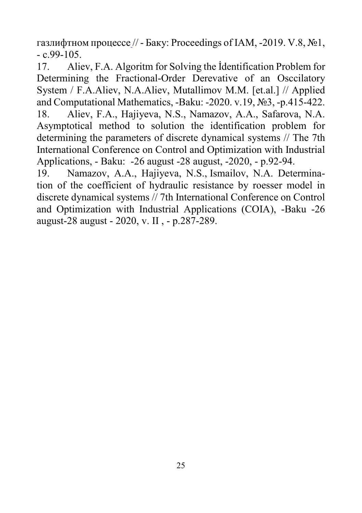[газлифтном процессе](http://www.iamj.az/Files/Contents%20V.8,%20N.1,%202019/10A.A.%20Namazov%20(1).pdf) // - Баку: Proceedings of IAM, -2019. V.8, №1,  $-c.99-105$ .

17. Aliev, F.A. Algoritm for Solving the İdentification Problem for Determining the Fractional-Order Derevative of an Osccilatory System / F.A.Aliev, N.A.Aliev, Mutallimov M.M. [et.al.] // Applied and Computational Mathematics, -Baku: -2020. v.19, №3, -p.415-422. 18. Aliev, F.A., Hajiyeva, N.S., Namazov, A.A., Safarova, N.A. Asymptotical method to solution the identification problem for determining the parameters of discrete dynamical systems // The 7th International Conference on Control and Optimization with Industrial Applications, - Baku: -26 august -28 august, -2020, - p.92-94.

19. [Namazov, A.A.](https://www.webofscience.com/wos/author/record/8516864), [Hajiyeva, N.S.](https://www.webofscience.com/wos/author/record/20233548), [Ismailov, N.A.](https://www.webofscience.com/wos/author/record/3591329) [Determina](https://www.webofscience.com/wos/woscc/full-record/WOS:000606324300092)[tion of the coefficient of hydraulic resistance by roesser model in](https://www.webofscience.com/wos/woscc/full-record/WOS:000606324300092)  [discrete dynamical systems](https://www.webofscience.com/wos/woscc/full-record/WOS:000606324300092) // [7th International Conference on Control](https://www.webofscience.com/wos/woscc/general-summary?queryJson=%5B%7B%22rowBoolean%22:null,%22rowField%22:%22CF%22,%22rowText%22:%227th%20International%20Conference%20on%20Control%20and%20Optimization%20with%20Industrial%20Applications%20(COIA)%22%7D%5D)  [and Optimization with Industrial Applications \(COIA\),](https://www.webofscience.com/wos/woscc/general-summary?queryJson=%5B%7B%22rowBoolean%22:null,%22rowField%22:%22CF%22,%22rowText%22:%227th%20International%20Conference%20on%20Control%20and%20Optimization%20with%20Industrial%20Applications%20(COIA)%22%7D%5D) -Baku -26 august-28 august - 2020, v. II , - p.287-289.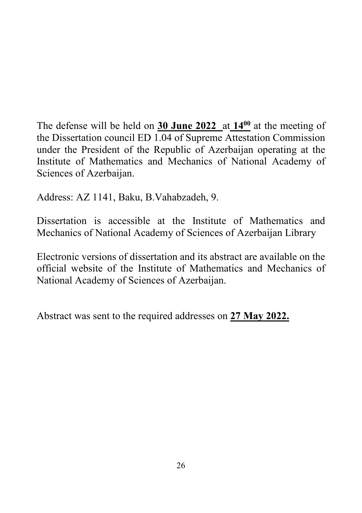The defense will be held on **30 June 2022** at **1400** at the meeting of the Dissertation council ED 1.04 of Supreme Attestation Commission under the President of the Republic of Azerbaijan operating at the Institute of Mathematics and Mechanics of National Academy of Sciences of Azerbaijan.

Address: AZ 1141, Baku, B.Vahabzadeh, 9.

Dissertation is accessible at the Institute of Mathematics and Mechanics of National Academy of Sciences of Azerbaijan Library

Electronic versions of dissertation and its abstract are available on the official website of the Institute of Mathematics and Mechanics of National Academy of Sciences of Azerbaijan.

Abstract was sent to the required addresses on **27 May 2022.**